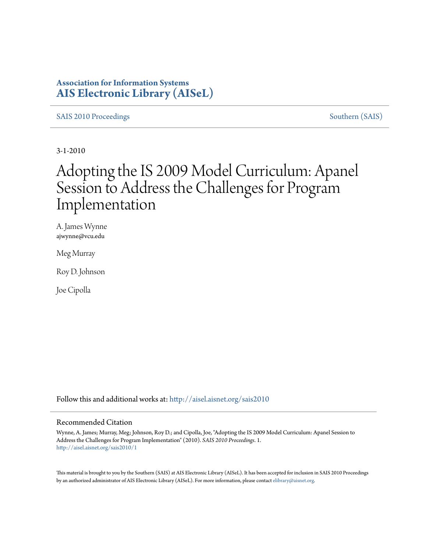### **Association for Information Systems [AIS Electronic Library \(AISeL\)](http://aisel.aisnet.org?utm_source=aisel.aisnet.org%2Fsais2010%2F1&utm_medium=PDF&utm_campaign=PDFCoverPages)**

[SAIS 2010 Proceedings](http://aisel.aisnet.org/sais2010?utm_source=aisel.aisnet.org%2Fsais2010%2F1&utm_medium=PDF&utm_campaign=PDFCoverPages) [Southern \(SAIS\)](http://aisel.aisnet.org/sais?utm_source=aisel.aisnet.org%2Fsais2010%2F1&utm_medium=PDF&utm_campaign=PDFCoverPages)

3-1-2010

# Adopting the IS 2009 Model Curriculum: Apanel Session to Address the Challenges for Program Implementation

A. James Wynne ajwynne@vcu.edu

Meg Murray

Roy D. Johnson

Joe Cipolla

Follow this and additional works at: [http://aisel.aisnet.org/sais2010](http://aisel.aisnet.org/sais2010?utm_source=aisel.aisnet.org%2Fsais2010%2F1&utm_medium=PDF&utm_campaign=PDFCoverPages)

#### Recommended Citation

Wynne, A. James; Murray, Meg; Johnson, Roy D.; and Cipolla, Joe, "Adopting the IS 2009 Model Curriculum: Apanel Session to Address the Challenges for Program Implementation" (2010). *SAIS 2010 Proceedings*. 1. [http://aisel.aisnet.org/sais2010/1](http://aisel.aisnet.org/sais2010/1?utm_source=aisel.aisnet.org%2Fsais2010%2F1&utm_medium=PDF&utm_campaign=PDFCoverPages)

This material is brought to you by the Southern (SAIS) at AIS Electronic Library (AISeL). It has been accepted for inclusion in SAIS 2010 Proceedings by an authorized administrator of AIS Electronic Library (AISeL). For more information, please contact [elibrary@aisnet.org](mailto:elibrary@aisnet.org%3E).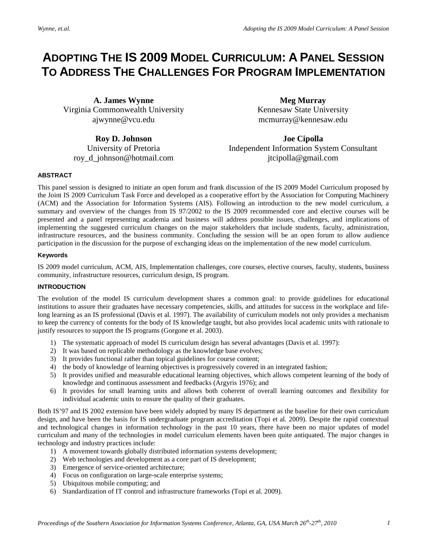## **ADOPTING THE IS 2009 MODEL CURRICULUM: A PANEL SESSION TO ADDRESS THE CHALLENGES FOR PROGRAM IMPLEMENTATION**

**A. James Wynne** Virginia Commonwealth University ajwynne@vcu.edu

**Meg Murray** Kennesaw State University mcmurray@kennesaw.edu

**Roy D. Johnson**  University of Pretoria roy\_d\_johnson@hotmail.com

**Joe Cipolla**  Independent Information System Consultant jtcipolla@gmail.com

#### **ABSTRACT**

This panel session is designed to initiate an open forum and frank discussion of the IS 2009 Model Curriculum proposed by the Joint IS 2009 Curriculum Task Force and developed as a cooperative effort by the Association for Computing Machinery (ACM) and the Association for Information Systems (AIS). Following an introduction to the new model curriculum, a summary and overview of the changes from IS 97/2002 to the IS 2009 recommended core and elective courses will be presented and a panel representing academia and business will address possible issues, challenges, and implications of implementing the suggested curriculum changes on the major stakeholders that include students, faculty, administration, infrastructure resources, and the business community. Concluding the session will be an open forum to allow audience participation in the discussion for the purpose of exchanging ideas on the implementation of the new model curriculum.

#### **Keywords**

IS 2009 model curriculum, ACM, AIS, Implementation challenges, core courses, elective courses, faculty, students, business community, infrastructure resources, curriculum design, IS program.

#### **INTRODUCTION**

The evolution of the model IS curriculum development shares a common goal: to provide guidelines for educational institutions to assure their graduates have necessary competencies, skills, and attitudes for success in the workplace and lifelong learning as an IS professional (Davis et al. 1997). The availability of curriculum models not only provides a mechanism to keep the currency of contents for the body of IS knowledge taught, but also provides local academic units with rationale to justify resources to support the IS programs (Gorgone et al. 2003).

- 1) The systematic approach of model IS curriculum design has several advantages (Davis et al. 1997):
- 2) It was based on replicable methodology as the knowledge base evolves;
- 3) It provides functional rather than topical guidelines for course content;
- 4) the body of knowledge of learning objectives is progressively covered in an integrated fashion;
- 5) It provides unified and measurable educational learning objectives, which allows competent learning of the body of knowledge and continuous assessment and feedbacks (Argyris 1976); and
- 6) It provides for small learning units and allows both coherent of overall learning outcomes and flexibility for individual academic units to ensure the quality of their graduates.

Both IS'97 and IS 2002 extension have been widely adopted by many IS department as the baseline for their own curriculum design, and have been the basis for IS undergraduate program accreditation (Topi et al. 2009). Despite the rapid contextual and technological changes in information technology in the past 10 years, there have been no major updates of model curriculum and many of the technologies in model curriculum elements haven been quite antiquated. The major changes in technology and industry practices include:

- 1) A movement towards globally distributed information systems development;
- 2) Web technologies and development as a core part of IS development;
- 3) Emergence of service-oriented architecture;
- 4) Focus on configuration on large-scale enterprise systems;
- 5) Ubiquitous mobile computing; and
- 6) Standardization of IT control and infrastructure frameworks (Topi et al. 2009).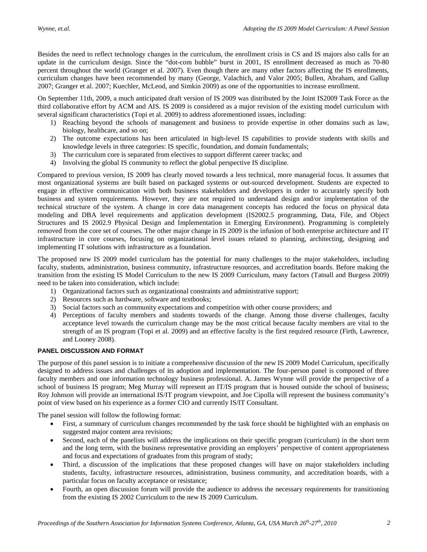Besides the need to reflect technology changes in the curriculum, the enrollment crisis in CS and IS majors also calls for an update in the curriculum design. Since the "dot-com bubble" burst in 2001, IS enrollment decreased as much as 70-80 percent throughout the world (Granger et al. 2007). Even though there are many other factors affecting the IS enrollments, curriculum changes have been recommended by many (George, Valachich, and Valor 2005; Bullen, Abraham, and Gallup 2007; Granger et al. 2007; Kuechler, McLeod, and Simkin 2009) as one of the opportunities to increase enrollment.

On September 11th, 2009, a much anticipated draft version of IS 2009 was distributed by the Joint IS2009 Task Force as the third collaborative effort by ACM and AIS. IS 2009 is considered as a major revision of the existing model curriculum with several significant characteristics (Topi et al. 2009) to address aforementioned issues, including:

- 1) Reaching beyond the schools of management and business to provide expertise in other domains such as law, biology, healthcare, and so on;
- 2) The outcome expectations has been articulated in high-level IS capabilities to provide students with skills and knowledge levels in three categories: IS specific, foundation, and domain fundamentals;
- 3) The curriculum core is separated from electives to support different career tracks; and
- 4) Involving the global IS community to reflect the global perspective IS discipline.

Compared to previous version, IS 2009 has clearly moved towards a less technical, more managerial focus. It assumes that most organizational systems are built based on packaged systems or out-sourced development. Students are expected to engage in effective communication with both business stakeholders and developers in order to accurately specify both business and system requirements. However, they are not required to understand design and/or implementation of the technical structure of the system. A change in core data management concepts has reduced the focus on physical data modeling and DBA level requirements and application development (IS2002.5 programming, Data, File, and Object Structures and IS 2002.9 Physical Design and Implementation in Emerging Environment). Programming is completely removed from the core set of courses. The other major change in IS 2009 is the infusion of both enterprise architecture and IT infrastructure in core courses, focusing on organizational level issues related to planning, architecting, designing and implementing IT solutions with infrastructure as a foundation.

The proposed new IS 2009 model curriculum has the potential for many challenges to the major stakeholders, including faculty, students, administration, business community, infrastructure resources, and accreditation boards. Before making the transition from the existing IS Model Curriculum to the new IS 2009 Curriculum, many factors (Tatnall and Burgess 2009) need to be taken into consideration, which include:

- 1) Organizational factors such as organizational constraints and administrative support;
- 2) Resources such as hardware, software and textbooks;
- 3) Social factors such as community expectations and competition with other course providers; and
- 4) Perceptions of faculty members and students towards of the change. Among those diverse challenges, faculty acceptance level towards the curriculum change may be the most critical because faculty members are vital to the strength of an IS program (Topi et al. 2009) and an effective faculty is the first required resource (Firth, Lawrence, and Looney 2008).

#### **PANEL DISCUSSION AND FORMAT**

The purpose of this panel session is to initiate a comprehensive discussion of the new IS 2009 Model Curriculum, specifically designed to address issues and challenges of its adoption and implementation. The four-person panel is composed of three faculty members and one information technology business professional. A. James Wynne will provide the perspective of a school of business IS program; Meg Murray will represent an IT/IS program that is housed outside the school of business; Roy Johnson will provide an international IS/IT program viewpoint, and Joe Cipolla will represent the business community's point of view based on his experience as a former CIO and currently IS/IT Consultant.

The panel session will follow the following format:

- First, a summary of curriculum changes recommended by the task force should be highlighted with an emphasis on suggested major content area revisions;
- Second, each of the panelists will address the implications on their specific program (curriculum) in the short term and the long term, with the business representative providing an employers' perspective of content appropriateness and focus and expectations of graduates from this program of study;
- Third, a discussion of the implications that these proposed changes will have on major stakeholders including students, faculty, infrastructure resources, administration, business community, and accreditation boards, with a particular focus on faculty acceptance or resistance;
- Fourth, an open discussion forum will provide the audience to address the necessary requirements for transitioning from the existing IS 2002 Curriculum to the new IS 2009 Curriculum.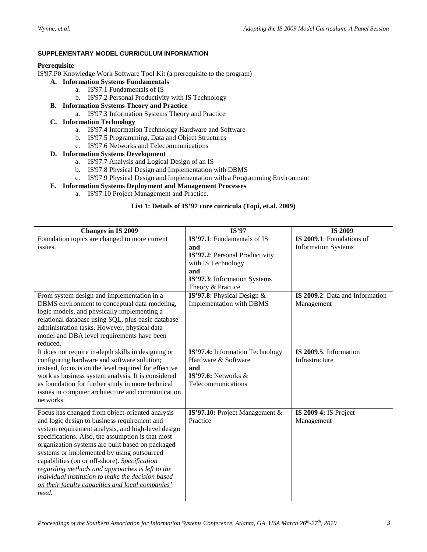#### **SUPPLEMENTARY MODEL CURRICULUM INFORMATION**

#### **Prerequisite**

IS'97.P0 Knowledge Work Software Tool Kit (a prerequisite to the program)

- **A. Information Systems Fundamentals**
	- a. IS'97.1 Fundamentals of IS
	- b. IS'97.2 Personal Productivity with IS Technology
- **B. Information Systems Theory and Practice**
	- a. IS'97.3 Information Systems Theory and Practice
- **C. Information Technology**
	- a. IS'97.4 Information Technology Hardware and Software
	- b. IS'97.5 Programming, Data and Object Structures
	- c. IS'97.6 Networks and Telecommunications
- **D. Information Systems Development**
	- a. IS'97.7 Analysis and Logical Design of an IS
	- b. IS'97.8 Physical Design and Implementation with DBMS
	- c. IS'97.9 Physical Design and Implementation with a Programming Environment
- **E. Information Systems Deployment and Management Processes**
	- a. IS'97.10 Project Management and Practice.

#### **List 1: Details of IS'97 core curricula (Topi, et.al. 2009)**

| Changes in IS 2009                                                                                                                                                                                                                                                                                                                                                                                                                                                                                                                 | IS'97                                                                                                                                                                                                                     | <b>IS 2009</b>                                                                                           |
|------------------------------------------------------------------------------------------------------------------------------------------------------------------------------------------------------------------------------------------------------------------------------------------------------------------------------------------------------------------------------------------------------------------------------------------------------------------------------------------------------------------------------------|---------------------------------------------------------------------------------------------------------------------------------------------------------------------------------------------------------------------------|----------------------------------------------------------------------------------------------------------|
| Foundation topics are changed to more current<br>issues.<br>From system design and implementation in a<br>DBMS environment to conceptual data modeling,<br>logic models, and physically implementing a                                                                                                                                                                                                                                                                                                                             | IS'97.1: Fundamentals of IS<br>and<br>IS'97.2: Personal Productivity<br>with IS Technology<br>and<br>IS'97.3: Information Systems<br>Theory & Practice<br>IS'97.8: Physical Design $&$<br><b>Implementation with DBMS</b> | IS 2009.1: Foundations of<br><b>Information Systems</b><br>IS 2009.2: Data and Information<br>Management |
| relational database using SQL, plus basic database<br>administration tasks. However, physical data<br>model and DBA level requirements have been<br>reduced.                                                                                                                                                                                                                                                                                                                                                                       |                                                                                                                                                                                                                           |                                                                                                          |
| It does not require in-depth skills in designing or<br>configuring hardware and software solution;<br>instead, focus is on the level required for effective<br>work as business system analysis. It is considered<br>as foundation for further study in more technical<br>issues in computer architecture and communication<br>networks.                                                                                                                                                                                           | IS'97.4: Information Technology<br>Hardware & Software<br>and<br>IS'97.6: Networks $\&$<br>Telecommunications                                                                                                             | IS 2009.5: Information<br>Infrastructure                                                                 |
| Focus has changed from object-oriented analysis<br>and logic design to business requirement and<br>system requirement analysis, and high-level design<br>specifications. Also, the assumption is that most<br>organization systems are built based on packaged<br>systems or implemented by using outsourced<br>capabilities (on or off-shore). Specification<br>regarding methods and approaches is left to the<br>individual institution to make the decision based<br>on their faculty capacities and local companies'<br>need. | IS'97.10: Project Management &<br>Practice                                                                                                                                                                                | IS 2009 4: IS Project<br>Management                                                                      |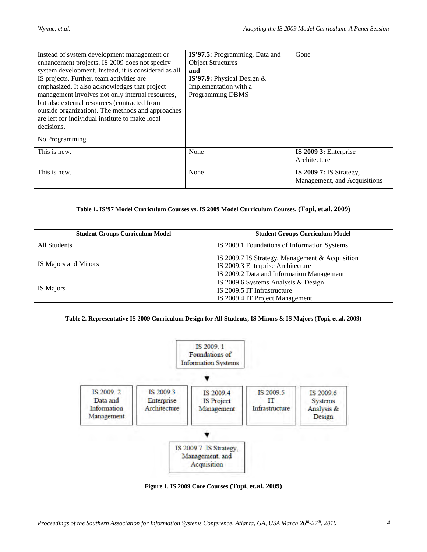| Instead of system development management or          | IS'97.5: Programming, Data and | Gone                         |
|------------------------------------------------------|--------------------------------|------------------------------|
| enhancement projects, IS 2009 does not specify       | <b>Object Structures</b>       |                              |
| system development. Instead, it is considered as all | and                            |                              |
| IS projects. Further, team activities are            | IS'97.9: Physical Design $&$   |                              |
| emphasized. It also acknowledges that project        | Implementation with a          |                              |
| management involves not only internal resources,     | <b>Programming DBMS</b>        |                              |
| but also external resources (contracted from         |                                |                              |
| outside organization). The methods and approaches    |                                |                              |
| are left for individual institute to make local      |                                |                              |
| decisions.                                           |                                |                              |
| No Programming                                       |                                |                              |
| This is new.                                         | None                           | IS 2009 3: Enterprise        |
|                                                      |                                | Architecture                 |
| This is new.                                         | None                           | IS 2009 7: IS Strategy,      |
|                                                      |                                | Management, and Acquisitions |

#### **Table 1. IS'97 Model Curriculum Courses vs. IS 2009 Model Curriculum Courses. (Topi, et.al. 2009)**

| <b>Student Groups Curriculum Model</b> | <b>Student Groups Curriculum Model</b>                                                                                            |  |  |  |  |  |  |
|----------------------------------------|-----------------------------------------------------------------------------------------------------------------------------------|--|--|--|--|--|--|
| All Students                           | IS 2009.1 Foundations of Information Systems                                                                                      |  |  |  |  |  |  |
| IS Majors and Minors                   | IS 2009.7 IS Strategy, Management & Acquisition<br>IS 2009.3 Enterprise Architecture<br>IS 2009.2 Data and Information Management |  |  |  |  |  |  |
| IS Majors                              | IS 2009.6 Systems Analysis & Design<br>IS 2009.5 IT Infrastructure<br>IS 2009.4 IT Project Management                             |  |  |  |  |  |  |

#### **Table 2. Representative IS 2009 Curriculum Design for All Students, IS Minors & IS Majors (Topi, et.al. 2009)**



**Figure 1. IS 2009 Core Courses (Topi, et.al. 2009)**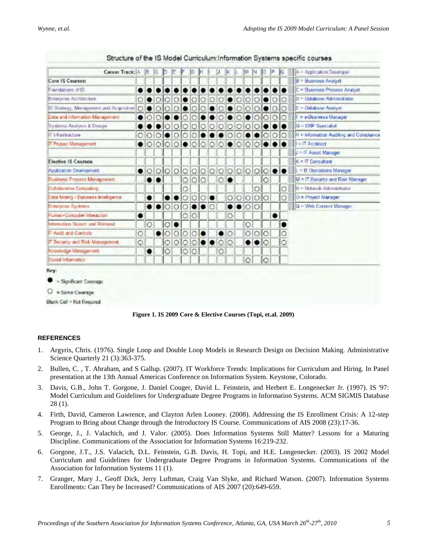| Career Track: A                           |   | IB       | Ic.      |            |        |   |         |  |           |         |                 |   |                |                                       |         | A = Application Developer               |
|-------------------------------------------|---|----------|----------|------------|--------|---|---------|--|-----------|---------|-----------------|---|----------------|---------------------------------------|---------|-----------------------------------------|
| Core IS Courses:                          |   |          |          |            |        |   |         |  |           |         |                 |   |                |                                       |         | I B<br>- Bueness Analyst                |
| Faundations of IS                         |   |          |          |            |        |   |         |  |           |         |                 |   |                |                                       |         | = Business Process Analyst              |
| Enterprise Architecture                   |   |          |          |            |        |   |         |  |           |         |                 |   |                |                                       |         | D = Database Administrator              |
| IS Strategy, Management and Acquisition O |   |          |          |            |        |   |         |  |           |         |                 |   |                |                                       |         | - Database Analyst<br>lle.              |
| Data and information Management           |   | $\Omega$ |          |            |        |   |         |  |           |         |                 |   |                |                                       |         | F = e-Bosiness Manager                  |
| Systems Analysis & Design                 |   |          |          |            |        |   |         |  |           |         |                 |   |                |                                       |         | $G = ERP$ Specialist                    |
| IT Infrastructure                         |   |          |          |            |        |   |         |  |           |         |                 |   |                |                                       |         | H = Information Auditing and Compliance |
| IT Project Management                     |   |          | $\Omega$ |            |        |   |         |  |           |         |                 |   |                |                                       |         | $I = IT$ Architect                      |
|                                           |   |          |          |            |        |   |         |  |           |         |                 |   |                |                                       |         | $J = IT$ Asset Manager                  |
| <b>Elective IS Courses:</b>               |   |          |          |            |        |   |         |  |           |         |                 |   |                |                                       |         | $K = IT$ Consultant                     |
| Application Development                   |   | $\circ$  | O        |            |        |   |         |  | $\bigcap$ |         |                 |   |                |                                       |         | $=$ IT Operations Manager               |
| Business Process Management               |   |          |          |            |        | O | $\circ$ |  | Ō         |         |                 |   |                |                                       |         | M = IT Security and Risk Manager        |
| <b>Colaborative Compuling</b>             |   |          |          |            |        | С |         |  |           |         |                 |   | О              |                                       | O       | N - Network Administrator               |
| Data Mining / Business Intelligence       |   |          |          |            |        |   |         |  |           |         | $\circ$ $\circ$ |   | 0 0 0          |                                       | O       | $ 0$ = Project Manager                  |
| Enterprise Systems                        |   |          |          |            |        |   |         |  |           |         |                 |   | O <sub>O</sub> |                                       |         | Q - Web Corterd Manager                 |
| Human-Computer Interaction                |   |          |          |            |        |   |         |  |           | O       |                 |   |                |                                       |         |                                         |
| Information Search and Ratneval           |   | $\circ$  |          |            |        |   |         |  |           |         |                 | O |                |                                       |         |                                         |
| IT Audit and Controls-                    | Ö |          |          | $\bigcirc$ | $\cap$ | O |         |  |           | $\circ$ |                 | Ö |                | $\circ$ <sub><math>\circ</math></sub> | $\circ$ |                                         |
| IT Security and Risk Maragement           | Ó |          |          |            | ∩      |   |         |  |           | O       |                 |   |                |                                       | Ö       |                                         |
| Knowledge Management                      |   |          |          | IО         |        | Ö | $\circ$ |  | O         |         |                 |   |                |                                       |         |                                         |
| Social Information                        |   |          |          |            |        |   |         |  |           |         |                 | Ω |                |                                       |         |                                         |
| Key:                                      |   |          |          |            |        |   |         |  |           |         |                 |   |                |                                       |         |                                         |
| Significant Coverage                      |   |          |          |            |        |   |         |  |           |         |                 |   |                |                                       |         |                                         |
| $O =$ Some Coverage                       |   |          |          |            |        |   |         |  |           |         |                 |   |                |                                       |         |                                         |
|                                           |   |          |          |            |        |   |         |  |           |         |                 |   |                |                                       |         |                                         |

Structure of the IS Model Curriculum:Information Systems specific courses

Blank Cell = Not Reguired



#### **REFERENCES**

- 1. Argyris, Chris. (1976). Single Loop and Double Loop Models in Research Design on Decision Making. Administrative Science Quarterly 21 (3):363-375.
- 2. Bullen, C. , T. Abraham, and S Gallup. (2007). IT Workforce Trends: Implications for Curriculum and Hiring. In Panel presentation at the 13th Annual Americas Conference on Information System. Keystone, Colorado.
- 3. Davis, G.B., John T. Gorgone, J. Daniel Couger, David L. Feinstein, and Herbert E. Longenecker Jr. (1997). IS '97: Model Curriculum and Guidelines for Undergraduate Degree Programs in Information Systems. ACM SIGMIS Database 28 (1).
- 4. Firth, David, Cameron Lawrence, and Clayton Arlen Looney. (2008). Addressing the IS Enrollment Crisis: A 12-step Program to Bring about Change through the Introductory IS Course. Communications of AIS 2008 (23):17-36.
- 5. George, J., J. Valachich, and J. Valor. (2005). Does Information Systems Still Matter? Lessons for a Maturing Discipline. Communications of the Association for Information Systems 16:219-232.
- 6. Gorgone, J.T., J.S. Valacich, D.L. Feinstein, G.B. Davis, H. Topi, and H.E. Longenecker. (2003). IS 2002 Model Curriculum and Guidelines for Undergraduate Degree Programs in Information Systems. Communications of the Association for Information Systems 11 (1).
- 7. Granger, Mary J., Geoff Dick, Jerry Luftman, Craig Van Slyke, and Richard Watson. (2007). Information Systems Enrollments: Can They be Increased? Communications of AIS 2007 (20):649-659.